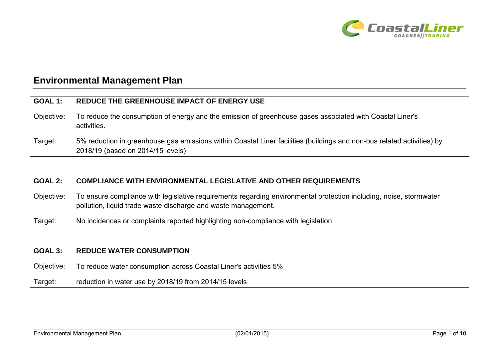

# **Environmental Management Plan**

| <b>GOAL 1:</b> | REDUCE THE GREENHOUSE IMPACT OF ENERGY USE                                                                                                                  |
|----------------|-------------------------------------------------------------------------------------------------------------------------------------------------------------|
| Objective:     | To reduce the consumption of energy and the emission of greenhouse gases associated with Coastal Liner's<br>activities.                                     |
| Target:        | 5% reduction in greenhouse gas emissions within Coastal Liner facilities (buildings and non-bus related activities) by<br>2018/19 (based on 2014/15 levels) |

#### **GOAL 2: COMPLIANCE WITH ENVIRONMENTAL LEGISLATIVE AND OTHER REQUIREMENTS**

Objective: To ensure compliance with legislative requirements regarding environmental protection including, noise, stormwater pollution, liquid trade waste discharge and waste management.

Target: No incidences or complaints reported highlighting non-compliance with legislation

| GOAL 3:    | <b>REDUCE WATER CONSUMPTION</b>                                  |
|------------|------------------------------------------------------------------|
| Objective: | To reduce water consumption across Coastal Liner's activities 5% |
| Target:    | reduction in water use by 2018/19 from 2014/15 levels            |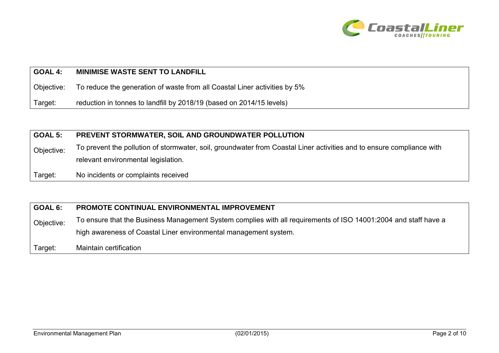

#### **GOAL 4: MINIMISE WASTE SENT TO LANDFILL**

Objective: To reduce the generation of waste from all Coastal Liner activities by 5%

Target: reduction in tonnes to landfill by 2018/19 (based on 2014/15 levels)

#### **GOAL 5: PREVENT STORMWATER, SOIL AND GROUNDWATER POLLUTION**

Objective: To prevent the pollution of stormwater, soil, groundwater from Coastal Liner activities and to ensure compliance with relevant environmental legislation.

Target: No incidents or complaints received

#### **GOAL 6: PROMOTE CONTINUAL ENVIRONMENTAL IMPROVEMENT**

Objective: To ensure that the Business Management System complies with all requirements of ISO 14001:2004 and staff have a high awareness of Coastal Liner environmental management system.

Target: Maintain certification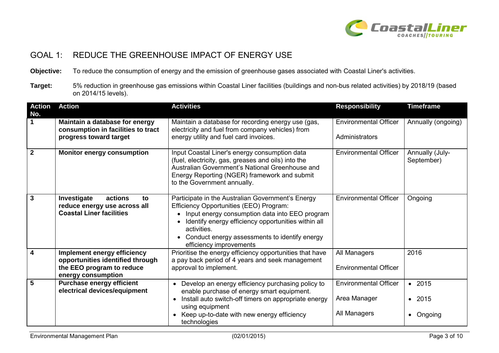

### GOAL 1: REDUCE THE GREENHOUSE IMPACT OF ENERGY USE

**Objective:** To reduce the consumption of energy and the emission of greenhouse gases associated with Coastal Liner's activities.

**Target:** 5% reduction in greenhouse gas emissions within Coastal Liner facilities (buildings and non-bus related activities) by 2018/19 (based on 2014/15 levels).

| <b>Action</b><br>No. | <b>Action</b>                                                                                                      | <b>Activities</b>                                                                                                                                                                                                                                                                                | <b>Responsibility</b>                                        | <b>Timeframe</b>                       |
|----------------------|--------------------------------------------------------------------------------------------------------------------|--------------------------------------------------------------------------------------------------------------------------------------------------------------------------------------------------------------------------------------------------------------------------------------------------|--------------------------------------------------------------|----------------------------------------|
| $\mathbf 1$          | Maintain a database for energy<br>consumption in facilities to tract<br>progress toward target                     | Maintain a database for recording energy use (gas,<br>electricity and fuel from company vehicles) from<br>energy utility and fuel card invoices.                                                                                                                                                 | <b>Environmental Officer</b><br>Administrators               | Annually (ongoing)                     |
| $\overline{2}$       | <b>Monitor energy consumption</b>                                                                                  | Input Coastal Liner's energy consumption data<br>(fuel, electricity, gas, greases and oils) into the<br>Australian Government's National Greenhouse and<br>Energy Reporting (NGER) framework and submit<br>to the Government annually.                                                           | <b>Environmental Officer</b>                                 | Annually (July-<br>September)          |
| $\overline{3}$       | Investigate<br>actions<br>to<br>reduce energy use across all<br><b>Coastal Liner facilities</b>                    | Participate in the Australian Government's Energy<br>Efficiency Opportunities (EEO) Program:<br>Input energy consumption data into EEO program<br>Identify energy efficiency opportunities within all<br>activities.<br>Conduct energy assessments to identify energy<br>efficiency improvements | <b>Environmental Officer</b>                                 | Ongoing                                |
| $\overline{4}$       | Implement energy efficiency<br>opportunities identified through<br>the EEO program to reduce<br>energy consumption | Prioritise the energy efficiency opportunities that have<br>a pay back period of 4 years and seek management<br>approval to implement.                                                                                                                                                           | All Managers<br><b>Environmental Officer</b>                 | 2016                                   |
| $5\phantom{1}$       | <b>Purchase energy efficient</b><br>electrical devices/equipment                                                   | Develop an energy efficiency purchasing policy to<br>enable purchase of energy smart equipment.<br>Install auto switch-off timers on appropriate energy<br>$\bullet$<br>using equipment<br>Keep up-to-date with new energy efficiency<br>technologies                                            | <b>Environmental Officer</b><br>Area Manager<br>All Managers | • 2015<br>2015<br>$\bullet$<br>Ongoing |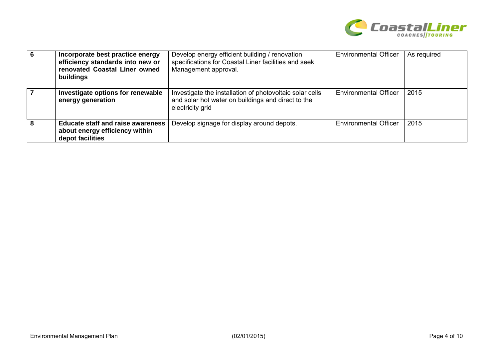

| 6 | Incorporate best practice energy<br>efficiency standards into new or<br>renovated Coastal Liner owned<br>buildings | Develop energy efficient building / renovation<br>specifications for Coastal Liner facilities and seek<br>Management approval.     | <b>Environmental Officer</b> | As required |
|---|--------------------------------------------------------------------------------------------------------------------|------------------------------------------------------------------------------------------------------------------------------------|------------------------------|-------------|
|   | Investigate options for renewable<br>energy generation                                                             | Investigate the installation of photovoltaic solar cells<br>and solar hot water on buildings and direct to the<br>electricity grid | <b>Environmental Officer</b> | 2015        |
| 8 | <b>Educate staff and raise awareness</b><br>about energy efficiency within<br>depot facilities                     | Develop signage for display around depots.                                                                                         | <b>Environmental Officer</b> | 2015        |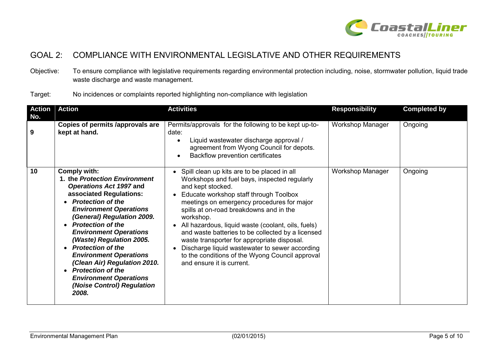

### GOAL 2: COMPLIANCE WITH ENVIRONMENTAL LEGISLATIVE AND OTHER REQUIREMENTS

Objective: To ensure compliance with legislative requirements regarding environmental protection including, noise, stormwater pollution, liquid trade waste discharge and waste management.

Target: No incidences or complaints reported highlighting non-compliance with legislation

| <b>Action</b><br>No. | <b>Action</b>                                                                                                                                                                                                                                                                                                                                                                                                                                                                                                        | <b>Activities</b>                                                                                                                                                                                                                                                                                                                                                                                                                                                                                                                                            | <b>Responsibility</b>   | <b>Completed by</b> |
|----------------------|----------------------------------------------------------------------------------------------------------------------------------------------------------------------------------------------------------------------------------------------------------------------------------------------------------------------------------------------------------------------------------------------------------------------------------------------------------------------------------------------------------------------|--------------------------------------------------------------------------------------------------------------------------------------------------------------------------------------------------------------------------------------------------------------------------------------------------------------------------------------------------------------------------------------------------------------------------------------------------------------------------------------------------------------------------------------------------------------|-------------------------|---------------------|
| 9                    | Copies of permits /approvals are<br>kept at hand.                                                                                                                                                                                                                                                                                                                                                                                                                                                                    | Permits/approvals for the following to be kept up-to-<br>date:<br>Liquid wastewater discharge approval /<br>agreement from Wyong Council for depots.<br>Backflow prevention certificates                                                                                                                                                                                                                                                                                                                                                                     | <b>Workshop Manager</b> | Ongoing             |
| 10                   | <b>Comply with:</b><br>1. the Protection Environment<br>Operations Act 1997 and<br>associated Regulations:<br><b>Protection of the</b><br><b>Environment Operations</b><br>(General) Regulation 2009.<br>• Protection of the<br><b>Environment Operations</b><br>(Waste) Regulation 2005.<br><b>Protection of the</b><br>$\bullet$<br><b>Environment Operations</b><br>(Clean Air) Regulation 2010.<br><b>Protection of the</b><br>$\bullet$<br><b>Environment Operations</b><br>(Noise Control) Regulation<br>2008. | Spill clean up kits are to be placed in all<br>Workshops and fuel bays, inspected regularly<br>and kept stocked.<br>Educate workshop staff through Toolbox<br>meetings on emergency procedures for major<br>spills at on-road breakdowns and in the<br>workshop.<br>All hazardous, liquid waste (coolant, oils, fuels)<br>and waste batteries to be collected by a licensed<br>waste transporter for appropriate disposal.<br>Discharge liquid wastewater to sewer according<br>to the conditions of the Wyong Council approval<br>and ensure it is current. | <b>Workshop Manager</b> | Ongoing             |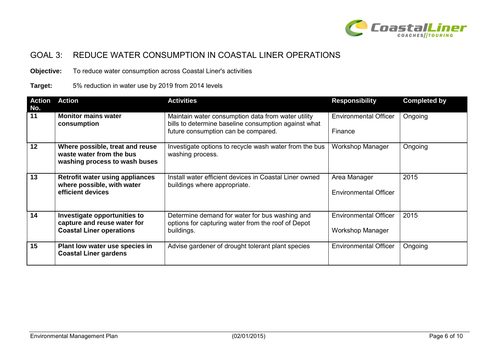

# GOAL 3: REDUCE WATER CONSUMPTION IN COASTAL LINER OPERATIONS

**Objective:** To reduce water consumption across Coastal Liner's activities

#### **Target:** 5% reduction in water use by 2019 from 2014 levels

| <b>Action</b><br>No. | <b>Action</b>                                                                                  | <b>Activities</b>                                                                                                  | <b>Responsibility</b>                                   | <b>Completed by</b> |
|----------------------|------------------------------------------------------------------------------------------------|--------------------------------------------------------------------------------------------------------------------|---------------------------------------------------------|---------------------|
| 11                   | <b>Monitor mains water</b><br>consumption                                                      | Maintain water consumption data from water utility<br>bills to determine baseline consumption against what         | <b>Environmental Officer</b>                            | Ongoing             |
|                      |                                                                                                | future consumption can be compared.                                                                                | Finance                                                 |                     |
| $\overline{12}$      | Where possible, treat and reuse<br>waste water from the bus<br>washing process to wash buses   | Investigate options to recycle wash water from the bus<br>washing process.                                         | Workshop Manager                                        | Ongoing             |
| 13                   | <b>Retrofit water using appliances</b><br>where possible, with water<br>efficient devices      | Install water efficient devices in Coastal Liner owned<br>buildings where appropriate.                             | Area Manager<br><b>Environmental Officer</b>            | 2015                |
| 14                   | Investigate opportunities to<br>capture and reuse water for<br><b>Coastal Liner operations</b> | Determine demand for water for bus washing and<br>options for capturing water from the roof of Depot<br>buildings. | <b>Environmental Officer</b><br><b>Workshop Manager</b> | 2015                |
| 15                   | Plant low water use species in<br><b>Coastal Liner gardens</b>                                 | Advise gardener of drought tolerant plant species                                                                  | <b>Environmental Officer</b>                            | Ongoing             |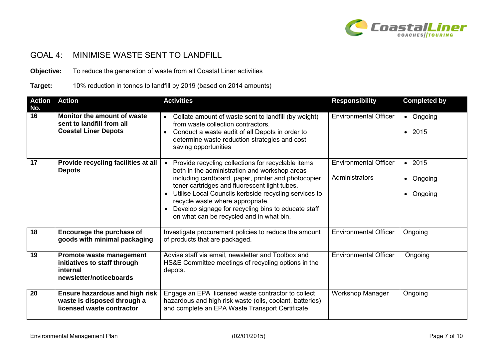

## GOAL 4: MINIMISE WASTE SENT TO LANDFILL

**Objective:** To reduce the generation of waste from all Coastal Liner activities

**Target:** 10% reduction in tonnes to landfill by 2019 (based on 2014 amounts)

| <b>Action</b><br>No. | <b>Action</b>                                                                                     | <b>Activities</b>                                                                                                                                                                                                                                                                                                                                                                                             | <b>Responsibility</b>                          | <b>Completed by</b>            |
|----------------------|---------------------------------------------------------------------------------------------------|---------------------------------------------------------------------------------------------------------------------------------------------------------------------------------------------------------------------------------------------------------------------------------------------------------------------------------------------------------------------------------------------------------------|------------------------------------------------|--------------------------------|
| 16                   | Monitor the amount of waste<br>sent to landfill from all<br><b>Coastal Liner Depots</b>           | Collate amount of waste sent to landfill (by weight)<br>from waste collection contractors.<br>Conduct a waste audit of all Depots in order to<br>$\bullet$<br>determine waste reduction strategies and cost<br>saving opportunities                                                                                                                                                                           | <b>Environmental Officer</b>                   | • Ongoing<br>• 2015            |
| 17                   | Provide recycling facilities at all<br><b>Depots</b>                                              | Provide recycling collections for recyclable items<br>both in the administration and workshop areas -<br>including cardboard, paper, printer and photocopier<br>toner cartridges and fluorescent light tubes.<br>Utilise Local Councils kerbside recycling services to<br>recycle waste where appropriate.<br>Develop signage for recycling bins to educate staff<br>on what can be recycled and in what bin. | <b>Environmental Officer</b><br>Administrators | • 2015<br>• Ongoing<br>Ongoing |
| 18                   | Encourage the purchase of<br>goods with minimal packaging                                         | Investigate procurement policies to reduce the amount<br>of products that are packaged.                                                                                                                                                                                                                                                                                                                       | <b>Environmental Officer</b>                   | Ongoing                        |
| 19                   | Promote waste management<br>initiatives to staff through<br>internal<br>newsletter/noticeboards   | Advise staff via email, newsletter and Toolbox and<br>HS&E Committee meetings of recycling options in the<br>depots.                                                                                                                                                                                                                                                                                          | <b>Environmental Officer</b>                   | Ongoing                        |
| 20                   | <b>Ensure hazardous and high risk</b><br>waste is disposed through a<br>licensed waste contractor | Engage an EPA licensed waste contractor to collect<br>hazardous and high risk waste (oils, coolant, batteries)<br>and complete an EPA Waste Transport Certificate                                                                                                                                                                                                                                             | <b>Workshop Manager</b>                        | Ongoing                        |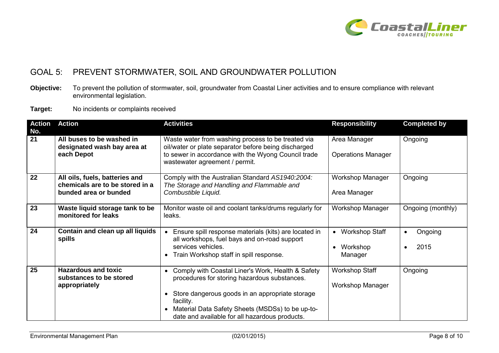

### GOAL 5: PREVENT STORMWATER, SOIL AND GROUNDWATER POLLUTION

**Objective:** To prevent the pollution of stormwater, soil, groundwater from Coastal Liner activities and to ensure compliance with relevant environmental legislation.

**Target:** No incidents or complaints received

| <b>Action</b><br>No. | <b>Action</b>                                                                              | <b>Activities</b>                                                                                                                                                                                                                                                                                              | <b>Responsibility</b>                            | <b>Completed by</b>          |
|----------------------|--------------------------------------------------------------------------------------------|----------------------------------------------------------------------------------------------------------------------------------------------------------------------------------------------------------------------------------------------------------------------------------------------------------------|--------------------------------------------------|------------------------------|
| $\overline{21}$      | All buses to be washed in<br>designated wash bay area at<br>each Depot                     | Waste water from washing process to be treated via<br>oil/water or plate separator before being discharged<br>to sewer in accordance with the Wyong Council trade<br>wastewater agreement / permit.                                                                                                            | Area Manager<br><b>Operations Manager</b>        | Ongoing                      |
| 22                   | All oils, fuels, batteries and<br>chemicals are to be stored in a<br>bunded area or bunded | Comply with the Australian Standard AS1940:2004:<br>The Storage and Handling and Flammable and<br>Combustible Liquid.                                                                                                                                                                                          | <b>Workshop Manager</b><br>Area Manager          | Ongoing                      |
| 23                   | Waste liquid storage tank to be<br>monitored for leaks                                     | Monitor waste oil and coolant tanks/drums regularly for<br>leaks.                                                                                                                                                                                                                                              | <b>Workshop Manager</b>                          | Ongoing (monthly)            |
| 24                   | Contain and clean up all liquids<br>spills                                                 | Ensure spill response materials (kits) are located in<br>all workshops, fuel bays and on-road support<br>services vehicles.<br>Train Workshop staff in spill response.<br>$\bullet$                                                                                                                            | • Workshop Staff<br>Workshop<br>Manager          | Ongoing<br>$\bullet$<br>2015 |
| 25                   | <b>Hazardous and toxic</b><br>substances to be stored<br>appropriately                     | Comply with Coastal Liner's Work, Health & Safety<br>$\bullet$<br>procedures for storing hazardous substances.<br>Store dangerous goods in an appropriate storage<br>$\bullet$<br>facility.<br>Material Data Safety Sheets (MSDSs) to be up-to-<br>$\bullet$<br>date and available for all hazardous products. | <b>Workshop Staff</b><br><b>Workshop Manager</b> | Ongoing                      |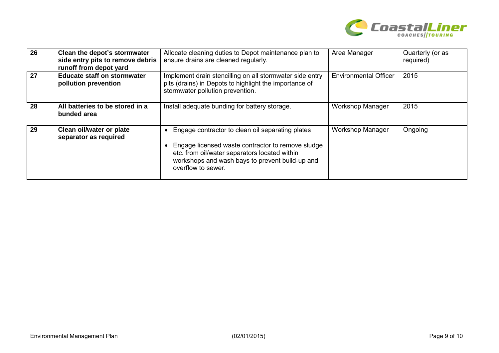

| 26 | Clean the depot's stormwater<br>side entry pits to remove debris<br>runoff from depot yard | Allocate cleaning duties to Depot maintenance plan to<br>ensure drains are cleaned regularly.                                                                                                                                   | Area Manager                 | Quarterly (or as<br>required) |
|----|--------------------------------------------------------------------------------------------|---------------------------------------------------------------------------------------------------------------------------------------------------------------------------------------------------------------------------------|------------------------------|-------------------------------|
| 27 | <b>Educate staff on stormwater</b><br>pollution prevention                                 | Implement drain stencilling on all stormwater side entry<br>pits (drains) in Depots to highlight the importance of<br>stormwater pollution prevention.                                                                          | <b>Environmental Officer</b> | 2015                          |
| 28 | All batteries to be stored in a<br>bunded area                                             | Install adequate bunding for battery storage.                                                                                                                                                                                   | <b>Workshop Manager</b>      | 2015                          |
| 29 | Clean oil/water or plate<br>separator as required                                          | Engage contractor to clean oil separating plates<br>Engage licensed waste contractor to remove sludge<br>etc. from oil/water separators located within<br>workshops and wash bays to prevent build-up and<br>overflow to sewer. | <b>Workshop Manager</b>      | Ongoing                       |